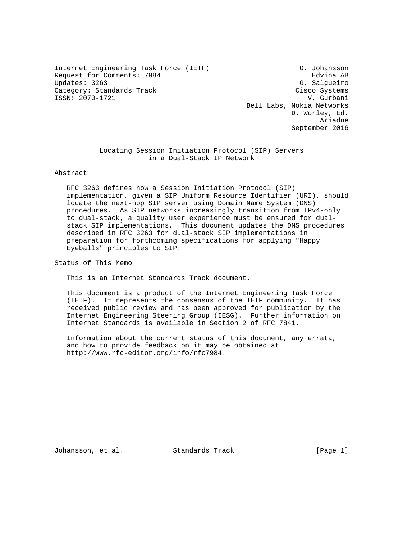Internet Engineering Task Force (IETF) O. Johansson Request for Comments: 7984 end of the Comments of the Redvina AB Updates: 3263 G. Salgueiro Category: Standards Track Cisco Systems ISSN: 2070-1721 V. Gurbani

 Bell Labs, Nokia Networks D. Worley, Ed. Ariadne September 2016

> Locating Session Initiation Protocol (SIP) Servers in a Dual-Stack IP Network

### Abstract

 RFC 3263 defines how a Session Initiation Protocol (SIP) implementation, given a SIP Uniform Resource Identifier (URI), should locate the next-hop SIP server using Domain Name System (DNS) procedures. As SIP networks increasingly transition from IPv4-only to dual-stack, a quality user experience must be ensured for dual stack SIP implementations. This document updates the DNS procedures described in RFC 3263 for dual-stack SIP implementations in preparation for forthcoming specifications for applying "Happy Eyeballs" principles to SIP.

Status of This Memo

This is an Internet Standards Track document.

 This document is a product of the Internet Engineering Task Force (IETF). It represents the consensus of the IETF community. It has received public review and has been approved for publication by the Internet Engineering Steering Group (IESG). Further information on Internet Standards is available in Section 2 of RFC 7841.

 Information about the current status of this document, any errata, and how to provide feedback on it may be obtained at http://www.rfc-editor.org/info/rfc7984.

Johansson, et al. Standards Track [Page 1]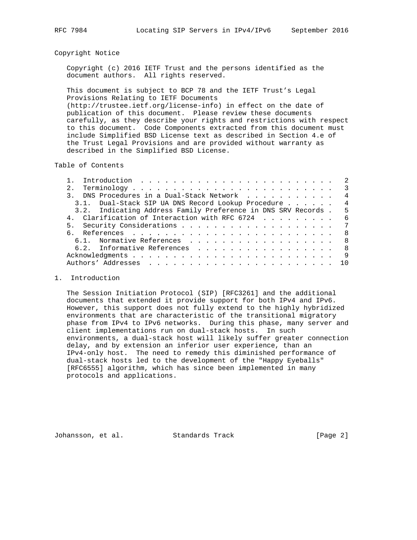## Copyright Notice

 Copyright (c) 2016 IETF Trust and the persons identified as the document authors. All rights reserved.

 This document is subject to BCP 78 and the IETF Trust's Legal Provisions Relating to IETF Documents (http://trustee.ietf.org/license-info) in effect on the date of publication of this document. Please review these documents carefully, as they describe your rights and restrictions with respect to this document. Code Components extracted from this document must include Simplified BSD License text as described in Section 4.e of the Trust Legal Provisions and are provided without warranty as described in the Simplified BSD License.

Table of Contents

|                                                               | $\overline{\phantom{a}3}$ |
|---------------------------------------------------------------|---------------------------|
| 3. DNS Procedures in a Dual-Stack Network                     | $\overline{4}$            |
| 3.1. Dual-Stack SIP UA DNS Record Lookup Procedure            | $\overline{4}$            |
| 3.2. Indicating Address Family Preference in DNS SRV Records. | - 5                       |
| 4. Clarification of Interaction with RFC 6724                 | - 6                       |
|                                                               |                           |
|                                                               | - 8                       |
| 6.1. Normative References                                     | - 8                       |
| 6.2. Informative References                                   | - 8                       |
|                                                               | - 9                       |
|                                                               | 1 O                       |
|                                                               |                           |

## 1. Introduction

 The Session Initiation Protocol (SIP) [RFC3261] and the additional documents that extended it provide support for both IPv4 and IPv6. However, this support does not fully extend to the highly hybridized environments that are characteristic of the transitional migratory phase from IPv4 to IPv6 networks. During this phase, many server and client implementations run on dual-stack hosts. In such environments, a dual-stack host will likely suffer greater connection delay, and by extension an inferior user experience, than an IPv4-only host. The need to remedy this diminished performance of dual-stack hosts led to the development of the "Happy Eyeballs" [RFC6555] algorithm, which has since been implemented in many protocols and applications.

Johansson, et al. Standards Track [Page 2]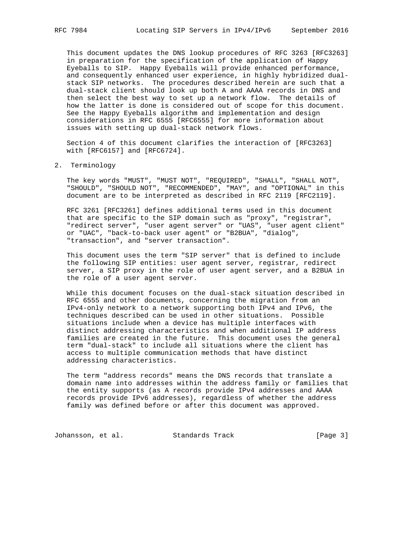This document updates the DNS lookup procedures of RFC 3263 [RFC3263] in preparation for the specification of the application of Happy Eyeballs to SIP. Happy Eyeballs will provide enhanced performance, and consequently enhanced user experience, in highly hybridized dual stack SIP networks. The procedures described herein are such that a dual-stack client should look up both A and AAAA records in DNS and then select the best way to set up a network flow. The details of how the latter is done is considered out of scope for this document. See the Happy Eyeballs algorithm and implementation and design considerations in RFC 6555 [RFC6555] for more information about issues with setting up dual-stack network flows.

 Section 4 of this document clarifies the interaction of [RFC3263] with [RFC6157] and [RFC6724].

### 2. Terminology

 The key words "MUST", "MUST NOT", "REQUIRED", "SHALL", "SHALL NOT", "SHOULD", "SHOULD NOT", "RECOMMENDED", "MAY", and "OPTIONAL" in this document are to be interpreted as described in RFC 2119 [RFC2119].

 RFC 3261 [RFC3261] defines additional terms used in this document that are specific to the SIP domain such as "proxy", "registrar", "redirect server", "user agent server" or "UAS", "user agent client" or "UAC", "back-to-back user agent" or "B2BUA", "dialog", "transaction", and "server transaction".

 This document uses the term "SIP server" that is defined to include the following SIP entities: user agent server, registrar, redirect server, a SIP proxy in the role of user agent server, and a B2BUA in the role of a user agent server.

 While this document focuses on the dual-stack situation described in RFC 6555 and other documents, concerning the migration from an IPv4-only network to a network supporting both IPv4 and IPv6, the techniques described can be used in other situations. Possible situations include when a device has multiple interfaces with distinct addressing characteristics and when additional IP address families are created in the future. This document uses the general term "dual-stack" to include all situations where the client has access to multiple communication methods that have distinct addressing characteristics.

 The term "address records" means the DNS records that translate a domain name into addresses within the address family or families that the entity supports (as A records provide IPv4 addresses and AAAA records provide IPv6 addresses), regardless of whether the address family was defined before or after this document was approved.

Johansson, et al. Standards Track [Page 3]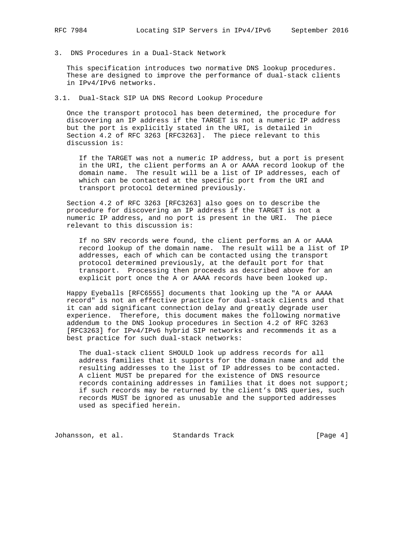3. DNS Procedures in a Dual-Stack Network

 This specification introduces two normative DNS lookup procedures. These are designed to improve the performance of dual-stack clients in IPv4/IPv6 networks.

3.1. Dual-Stack SIP UA DNS Record Lookup Procedure

 Once the transport protocol has been determined, the procedure for discovering an IP address if the TARGET is not a numeric IP address but the port is explicitly stated in the URI, is detailed in Section 4.2 of RFC 3263 [RFC3263]. The piece relevant to this discussion is:

 If the TARGET was not a numeric IP address, but a port is present in the URI, the client performs an A or AAAA record lookup of the domain name. The result will be a list of IP addresses, each of which can be contacted at the specific port from the URI and transport protocol determined previously.

 Section 4.2 of RFC 3263 [RFC3263] also goes on to describe the procedure for discovering an IP address if the TARGET is not a numeric IP address, and no port is present in the URI. The piece relevant to this discussion is:

 If no SRV records were found, the client performs an A or AAAA record lookup of the domain name. The result will be a list of IP addresses, each of which can be contacted using the transport protocol determined previously, at the default port for that transport. Processing then proceeds as described above for an explicit port once the A or AAAA records have been looked up.

 Happy Eyeballs [RFC6555] documents that looking up the "A or AAAA record" is not an effective practice for dual-stack clients and that it can add significant connection delay and greatly degrade user experience. Therefore, this document makes the following normative addendum to the DNS lookup procedures in Section 4.2 of RFC 3263 [RFC3263] for IPv4/IPv6 hybrid SIP networks and recommends it as a best practice for such dual-stack networks:

 The dual-stack client SHOULD look up address records for all address families that it supports for the domain name and add the resulting addresses to the list of IP addresses to be contacted. A client MUST be prepared for the existence of DNS resource records containing addresses in families that it does not support; if such records may be returned by the client's DNS queries, such records MUST be ignored as unusable and the supported addresses used as specified herein.

Johansson, et al. Standards Track [Page 4]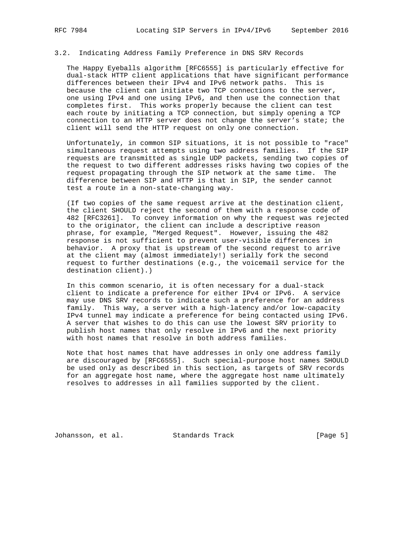## 3.2. Indicating Address Family Preference in DNS SRV Records

 The Happy Eyeballs algorithm [RFC6555] is particularly effective for dual-stack HTTP client applications that have significant performance differences between their IPv4 and IPv6 network paths. This is because the client can initiate two TCP connections to the server, one using IPv4 and one using IPv6, and then use the connection that completes first. This works properly because the client can test each route by initiating a TCP connection, but simply opening a TCP connection to an HTTP server does not change the server's state; the client will send the HTTP request on only one connection.

 Unfortunately, in common SIP situations, it is not possible to "race" simultaneous request attempts using two address families. If the SIP requests are transmitted as single UDP packets, sending two copies of the request to two different addresses risks having two copies of the request propagating through the SIP network at the same time. The difference between SIP and HTTP is that in SIP, the sender cannot test a route in a non-state-changing way.

 (If two copies of the same request arrive at the destination client, the client SHOULD reject the second of them with a response code of 482 [RFC3261]. To convey information on why the request was rejected to the originator, the client can include a descriptive reason phrase, for example, "Merged Request". However, issuing the 482 response is not sufficient to prevent user-visible differences in behavior. A proxy that is upstream of the second request to arrive at the client may (almost immediately!) serially fork the second request to further destinations (e.g., the voicemail service for the destination client).)

 In this common scenario, it is often necessary for a dual-stack client to indicate a preference for either IPv4 or IPv6. A service may use DNS SRV records to indicate such a preference for an address family. This way, a server with a high-latency and/or low-capacity IPv4 tunnel may indicate a preference for being contacted using IPv6. A server that wishes to do this can use the lowest SRV priority to publish host names that only resolve in IPv6 and the next priority with host names that resolve in both address families.

 Note that host names that have addresses in only one address family are discouraged by [RFC6555]. Such special-purpose host names SHOULD be used only as described in this section, as targets of SRV records for an aggregate host name, where the aggregate host name ultimately resolves to addresses in all families supported by the client.

Johansson, et al. Standards Track [Page 5]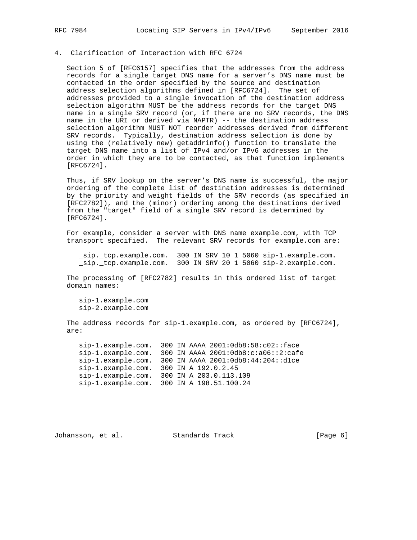# 4. Clarification of Interaction with RFC 6724

 Section 5 of [RFC6157] specifies that the addresses from the address records for a single target DNS name for a server's DNS name must be contacted in the order specified by the source and destination address selection algorithms defined in [RFC6724]. The set of addresses provided to a single invocation of the destination address selection algorithm MUST be the address records for the target DNS name in a single SRV record (or, if there are no SRV records, the DNS name in the URI or derived via NAPTR) -- the destination address selection algorithm MUST NOT reorder addresses derived from different SRV records. Typically, destination address selection is done by using the (relatively new) getaddrinfo() function to translate the target DNS name into a list of IPv4 and/or IPv6 addresses in the order in which they are to be contacted, as that function implements [RFC6724].

 Thus, if SRV lookup on the server's DNS name is successful, the major ordering of the complete list of destination addresses is determined by the priority and weight fields of the SRV records (as specified in [RFC2782]), and the (minor) ordering among the destinations derived from the "target" field of a single SRV record is determined by [RFC6724].

 For example, consider a server with DNS name example.com, with TCP transport specified. The relevant SRV records for example.com are:

 \_sip.\_tcp.example.com. 300 IN SRV 10 1 5060 sip-1.example.com. \_sip.\_tcp.example.com. 300 IN SRV 20 1 5060 sip-2.example.com.

 The processing of [RFC2782] results in this ordered list of target domain names:

 sip-1.example.com sip-2.example.com

 The address records for sip-1.example.com, as ordered by [RFC6724], are:

 sip-1.example.com. 300 IN AAAA 2001:0db8:58:c02::face sip-1.example.com. 300 IN AAAA 2001:0db8:c:a06::2:cafe sip-1.example.com. 300 IN AAAA 2001:0db8:44:204::d1ce sip-1.example.com. 300 IN A 192.0.2.45 sip-1.example.com. 300 IN A 203.0.113.109 sip-1.example.com. 300 IN A 198.51.100.24

Johansson, et al. Standards Track [Page 6]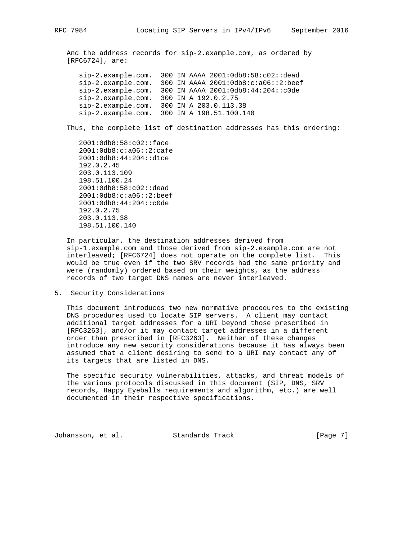And the address records for sip-2.example.com, as ordered by [RFC6724], are:

 sip-2.example.com. 300 IN AAAA 2001:0db8:58:c02::dead sip-2.example.com. 300 IN AAAA 2001:0db8:c:a06::2:beef sip-2.example.com. 300 IN AAAA 2001:0db8:44:204::c0de sip-2.example.com. 300 IN A 192.0.2.75 sip-2.example.com. 300 IN A 203.0.113.38 sip-2.example.com. 300 IN A 198.51.100.140

Thus, the complete list of destination addresses has this ordering:

 2001:0db8:58:c02::face 2001:0db8:c:a06::2:cafe 2001:0db8:44:204::d1ce 192.0.2.45 203.0.113.109 198.51.100.24 2001:0db8:58:c02::dead 2001:0db8:c:a06::2:beef 2001:0db8:44:204::c0de 192.0.2.75 203.0.113.38 198.51.100.140

 In particular, the destination addresses derived from sip-1.example.com and those derived from sip-2.example.com are not interleaved; [RFC6724] does not operate on the complete list. This would be true even if the two SRV records had the same priority and were (randomly) ordered based on their weights, as the address records of two target DNS names are never interleaved.

5. Security Considerations

 This document introduces two new normative procedures to the existing DNS procedures used to locate SIP servers. A client may contact additional target addresses for a URI beyond those prescribed in [RFC3263], and/or it may contact target addresses in a different order than prescribed in [RFC3263]. Neither of these changes introduce any new security considerations because it has always been assumed that a client desiring to send to a URI may contact any of its targets that are listed in DNS.

 The specific security vulnerabilities, attacks, and threat models of the various protocols discussed in this document (SIP, DNS, SRV records, Happy Eyeballs requirements and algorithm, etc.) are well documented in their respective specifications.

Johansson, et al. Standards Track [Page 7]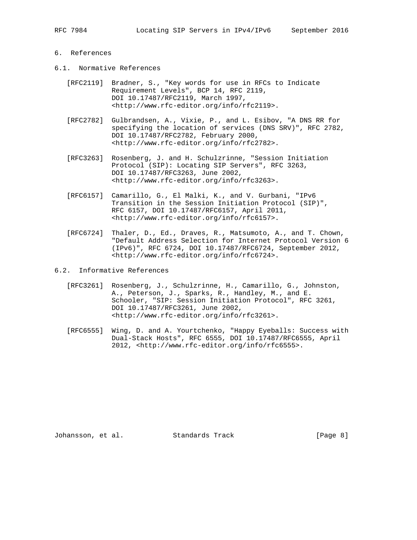# 6. References

- 6.1. Normative References
	- [RFC2119] Bradner, S., "Key words for use in RFCs to Indicate Requirement Levels", BCP 14, RFC 2119, DOI 10.17487/RFC2119, March 1997, <http://www.rfc-editor.org/info/rfc2119>.
	- [RFC2782] Gulbrandsen, A., Vixie, P., and L. Esibov, "A DNS RR for specifying the location of services (DNS SRV)", RFC 2782, DOI 10.17487/RFC2782, February 2000, <http://www.rfc-editor.org/info/rfc2782>.
	- [RFC3263] Rosenberg, J. and H. Schulzrinne, "Session Initiation Protocol (SIP): Locating SIP Servers", RFC 3263, DOI 10.17487/RFC3263, June 2002, <http://www.rfc-editor.org/info/rfc3263>.
	- [RFC6157] Camarillo, G., El Malki, K., and V. Gurbani, "IPv6 Transition in the Session Initiation Protocol (SIP)", RFC 6157, DOI 10.17487/RFC6157, April 2011, <http://www.rfc-editor.org/info/rfc6157>.
	- [RFC6724] Thaler, D., Ed., Draves, R., Matsumoto, A., and T. Chown, "Default Address Selection for Internet Protocol Version 6 (IPv6)", RFC 6724, DOI 10.17487/RFC6724, September 2012, <http://www.rfc-editor.org/info/rfc6724>.
- 6.2. Informative References
	- [RFC3261] Rosenberg, J., Schulzrinne, H., Camarillo, G., Johnston, A., Peterson, J., Sparks, R., Handley, M., and E. Schooler, "SIP: Session Initiation Protocol", RFC 3261, DOI 10.17487/RFC3261, June 2002, <http://www.rfc-editor.org/info/rfc3261>.
	- [RFC6555] Wing, D. and A. Yourtchenko, "Happy Eyeballs: Success with Dual-Stack Hosts", RFC 6555, DOI 10.17487/RFC6555, April 2012, <http://www.rfc-editor.org/info/rfc6555>.

Johansson, et al. Standards Track [Page 8]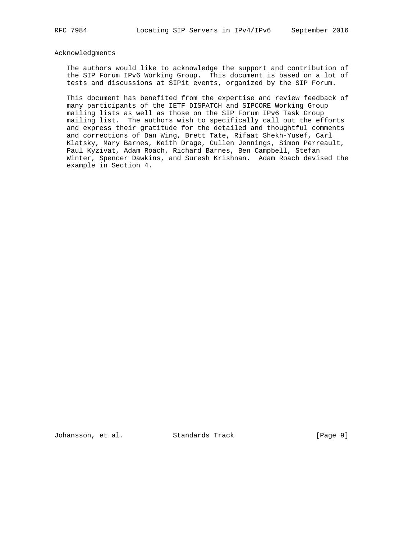### Acknowledgments

 The authors would like to acknowledge the support and contribution of the SIP Forum IPv6 Working Group. This document is based on a lot of tests and discussions at SIPit events, organized by the SIP Forum.

 This document has benefited from the expertise and review feedback of many participants of the IETF DISPATCH and SIPCORE Working Group mailing lists as well as those on the SIP Forum IPv6 Task Group mailing list. The authors wish to specifically call out the efforts and express their gratitude for the detailed and thoughtful comments and corrections of Dan Wing, Brett Tate, Rifaat Shekh-Yusef, Carl Klatsky, Mary Barnes, Keith Drage, Cullen Jennings, Simon Perreault, Paul Kyzivat, Adam Roach, Richard Barnes, Ben Campbell, Stefan Winter, Spencer Dawkins, and Suresh Krishnan. Adam Roach devised the example in Section 4.